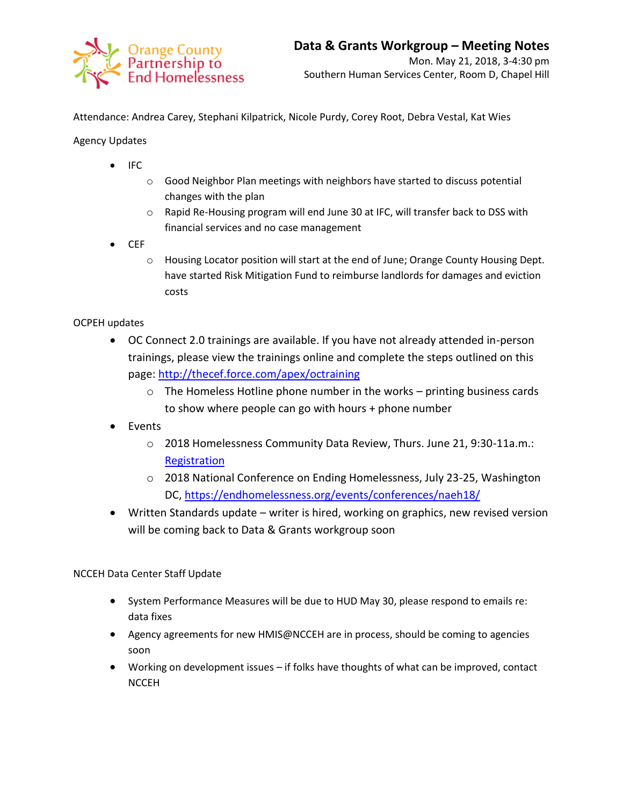

Attendance: Andrea Carey, Stephani Kilpatrick, Nicole Purdy, Corey Root, Debra Vestal, Kat Wies

Agency Updates

- IFC
	- o Good Neighbor Plan meetings with neighbors have started to discuss potential changes with the plan
	- o Rapid Re-Housing program will end June 30 at IFC, will transfer back to DSS with financial services and no case management
- $\bullet$  CEF
	- o Housing Locator position will start at the end of June; Orange County Housing Dept. have started Risk Mitigation Fund to reimburse landlords for damages and eviction costs

## OCPEH updates

- OC Connect 2.0 trainings are available. If you have not already attended in-person trainings, please view the trainings online and complete the steps outlined on this page:<http://thecef.force.com/apex/octraining>
	- o The Homeless Hotline phone number in the works printing business cards to show where people can go with hours + phone number
- Events
	- o 2018 Homelessness Community Data Review, Thurs. June 21, 9:30-11a.m.: **[Registration](https://www.eventbrite.com/e/2018-homelessness-community-data-review-tickets-44925443210)**
	- o 2018 National Conference on Ending Homelessness, July 23-25, Washington DC,<https://endhomelessness.org/events/conferences/naeh18/>
- Written Standards update writer is hired, working on graphics, new revised version will be coming back to Data & Grants workgroup soon

## NCCEH Data Center Staff Update

- System Performance Measures will be due to HUD May 30, please respond to emails re: data fixes
- Agency agreements for new HMIS@NCCEH are in process, should be coming to agencies soon
- Working on development issues if folks have thoughts of what can be improved, contact **NCCEH**